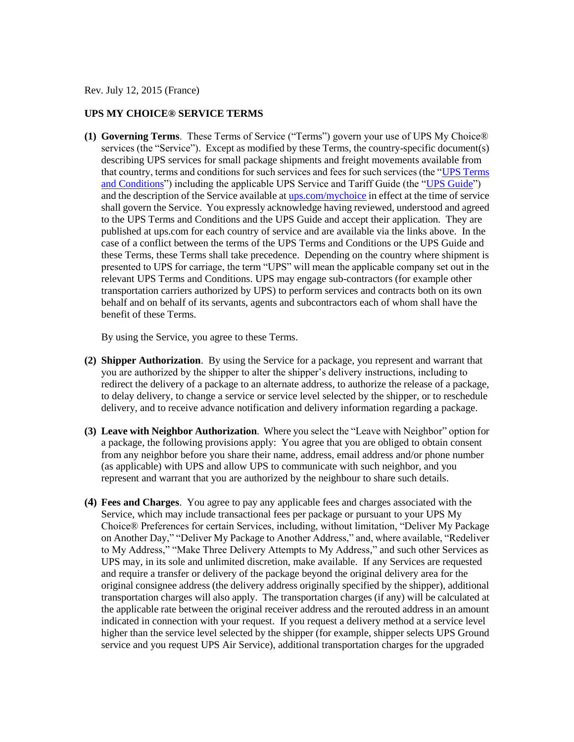Rev. July 12, 2015 (France)

### **UPS MY CHOICE® SERVICE TERMS**

**(1) Governing Terms**. These Terms of Service ("Terms") govern your use of UPS My Choice® services (the "Service"). Except as modified by these Terms, the country-specific document(s) describing UPS services for small package shipments and freight movements available from that country, terms and conditions for such services and fees for such services (the ["UPS Terms](http://www.ups.com/content/fr/en/resources/ship/terms/shipping/index.html?WT.svl=Footer)  [and Conditions"](http://www.ups.com/content/fr/en/resources/ship/terms/shipping/index.html?WT.svl=Footer)) including the applicable UPS Service and Tariff Guide (the ["UPS Guide"](http://www.ups.com/content/fr/en/shipping/cost/zones/index.html)) and the description of the Service available at [ups.com/mychoice](http://www.ups.com/content/fr/en/tracking/ups_mychoice.html) in effect at the time of service shall govern the Service. You expressly acknowledge having reviewed, understood and agreed to the UPS Terms and Conditions and the UPS Guide and accept their application. They are published at ups.com for each country of service and are available via the links above. In the case of a conflict between the terms of the UPS Terms and Conditions or the UPS Guide and these Terms, these Terms shall take precedence. Depending on the country where shipment is presented to UPS for carriage, the term "UPS" will mean the applicable company set out in the relevant UPS Terms and Conditions. UPS may engage sub-contractors (for example other transportation carriers authorized by UPS) to perform services and contracts both on its own behalf and on behalf of its servants, agents and subcontractors each of whom shall have the benefit of these Terms.

By using the Service, you agree to these Terms.

- **(2) Shipper Authorization**. By using the Service for a package, you represent and warrant that you are authorized by the shipper to alter the shipper's delivery instructions, including to redirect the delivery of a package to an alternate address, to authorize the release of a package, to delay delivery, to change a service or service level selected by the shipper, or to reschedule delivery, and to receive advance notification and delivery information regarding a package.
- **(3) Leave with Neighbor Authorization**. Where you select the "Leave with Neighbor" option for a package, the following provisions apply: You agree that you are obliged to obtain consent from any neighbor before you share their name, address, email address and/or phone number (as applicable) with UPS and allow UPS to communicate with such neighbor, and you represent and warrant that you are authorized by the neighbour to share such details.
- **(4) Fees and Charges**. You agree to pay any applicable fees and charges associated with the Service, which may include transactional fees per package or pursuant to your UPS My Choice® Preferences for certain Services, including, without limitation, "Deliver My Package on Another Day," "Deliver My Package to Another Address," and, where available, "Redeliver to My Address," "Make Three Delivery Attempts to My Address," and such other Services as UPS may, in its sole and unlimited discretion, make available. If any Services are requested and require a transfer or delivery of the package beyond the original delivery area for the original consignee address (the delivery address originally specified by the shipper), additional transportation charges will also apply. The transportation charges (if any) will be calculated at the applicable rate between the original receiver address and the rerouted address in an amount indicated in connection with your request. If you request a delivery method at a service level higher than the service level selected by the shipper (for example, shipper selects UPS Ground service and you request UPS Air Service), additional transportation charges for the upgraded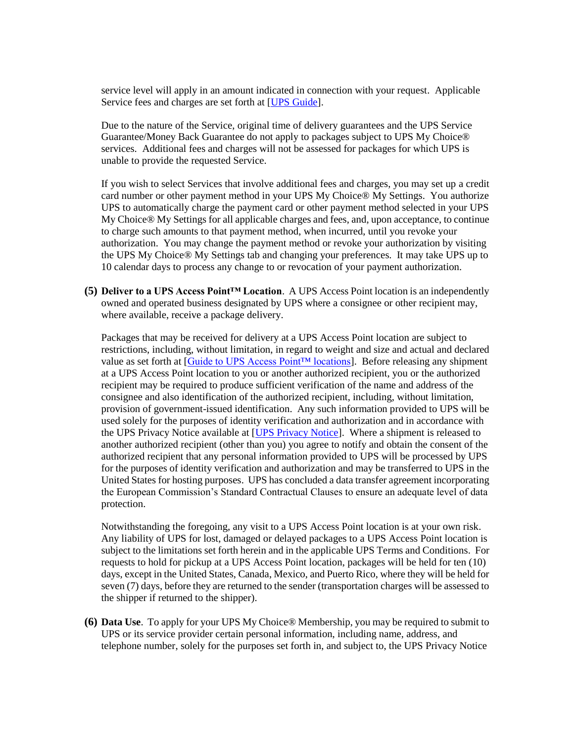service level will apply in an amount indicated in connection with your request. Applicable Service fees and charges are set forth at [\[UPS Guide\]](http://www.ups.com/content/fr/en/shipping/cost/zones/index.html).

Due to the nature of the Service, original time of delivery guarantees and the UPS Service Guarantee/Money Back Guarantee do not apply to packages subject to UPS My Choice® services. Additional fees and charges will not be assessed for packages for which UPS is unable to provide the requested Service.

If you wish to select Services that involve additional fees and charges, you may set up a credit card number or other payment method in your UPS My Choice® My Settings. You authorize UPS to automatically charge the payment card or other payment method selected in your UPS My Choice® My Settings for all applicable charges and fees, and, upon acceptance, to continue to charge such amounts to that payment method, when incurred, until you revoke your authorization. You may change the payment method or revoke your authorization by visiting the UPS My Choice® My Settings tab and changing your preferences. It may take UPS up to 10 calendar days to process any change to or revocation of your payment authorization.

**(5) Deliver to a UPS Access Point™ Location**. A UPS Access Point location is an independently owned and operated business designated by UPS where a consignee or other recipient may, where available, receive a package delivery.

Packages that may be received for delivery at a UPS Access Point location are subject to restrictions, including, without limitation, in regard to weight and size and actual and declared value as set forth at [\[Guide to UPS Access Point™ locations\]](http://www.ups.com/accesspoint/). Before releasing any shipment at a UPS Access Point location to you or another authorized recipient, you or the authorized recipient may be required to produce sufficient verification of the name and address of the consignee and also identification of the authorized recipient, including, without limitation, provision of government-issued identification. Any such information provided to UPS will be used solely for the purposes of identity verification and authorization and in accordance with the UPS Privacy Notice available at [\[UPS Privacy Notice\]](http://www.ups.com/content/fr/en/resources/ship/terms/privacy.html). Where a shipment is released to another authorized recipient (other than you) you agree to notify and obtain the consent of the authorized recipient that any personal information provided to UPS will be processed by UPS for the purposes of identity verification and authorization and may be transferred to UPS in the United States for hosting purposes. UPS has concluded a data transfer agreement incorporating the European Commission's Standard Contractual Clauses to ensure an adequate level of data protection.

Notwithstanding the foregoing, any visit to a UPS Access Point location is at your own risk. Any liability of UPS for lost, damaged or delayed packages to a UPS Access Point location is subject to the limitations set forth herein and in the applicable UPS Terms and Conditions. For requests to hold for pickup at a UPS Access Point location, packages will be held for ten (10) days, except in the United States, Canada, Mexico, and Puerto Rico, where they will be held for seven (7) days, before they are returned to the sender (transportation charges will be assessed to the shipper if returned to the shipper).

**(6) Data Use**. To apply for your UPS My Choice® Membership, you may be required to submit to UPS or its service provider certain personal information, including name, address, and telephone number, solely for the purposes set forth in, and subject to, the UPS Privacy Notice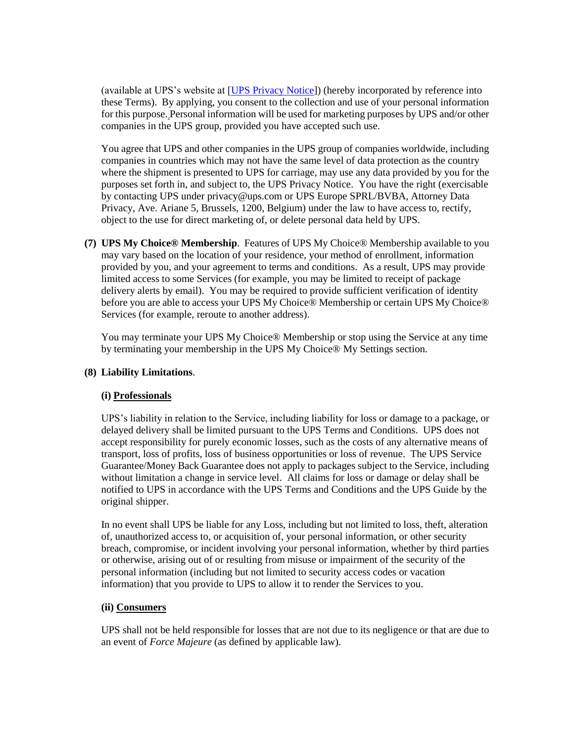(available at UPS's website at [\[UPS Privacy Notice\]](http://www.ups.com/content/fr/en/resources/ship/terms/privacy.html)) (hereby incorporated by reference into these Terms). By applying, you consent to the collection and use of your personal information for this purpose. Personal information will be used for marketing purposes by UPS and/or other companies in the UPS group, provided you have accepted such use.

You agree that UPS and other companies in the UPS group of companies worldwide, including companies in countries which may not have the same level of data protection as the country where the shipment is presented to UPS for carriage, may use any data provided by you for the purposes set forth in, and subject to, the UPS Privacy Notice. You have the right (exercisable by contacting UPS under privacy@ups.com or UPS Europe SPRL/BVBA, Attorney Data Privacy, Ave. Ariane 5, Brussels, 1200, Belgium) under the law to have access to, rectify, object to the use for direct marketing of, or delete personal data held by UPS.

**(7) UPS My Choice® Membership**. Features of UPS My Choice® Membership available to you may vary based on the location of your residence, your method of enrollment, information provided by you, and your agreement to terms and conditions. As a result, UPS may provide limited access to some Services (for example, you may be limited to receipt of package delivery alerts by email). You may be required to provide sufficient verification of identity before you are able to access your UPS My Choice® Membership or certain UPS My Choice® Services (for example, reroute to another address).

You may terminate your UPS My Choice® Membership or stop using the Service at any time by terminating your membership in the UPS My Choice® My Settings section.

# **(8) Liability Limitations**.

# **(i) Professionals**

UPS's liability in relation to the Service, including liability for loss or damage to a package, or delayed delivery shall be limited pursuant to the UPS Terms and Conditions. UPS does not accept responsibility for purely economic losses, such as the costs of any alternative means of transport, loss of profits, loss of business opportunities or loss of revenue. The UPS Service Guarantee/Money Back Guarantee does not apply to packages subject to the Service, including without limitation a change in service level. All claims for loss or damage or delay shall be notified to UPS in accordance with the UPS Terms and Conditions and the UPS Guide by the original shipper.

In no event shall UPS be liable for any Loss, including but not limited to loss, theft, alteration of, unauthorized access to, or acquisition of, your personal information, or other security breach, compromise, or incident involving your personal information, whether by third parties or otherwise, arising out of or resulting from misuse or impairment of the security of the personal information (including but not limited to security access codes or vacation information) that you provide to UPS to allow it to render the Services to you.

# **(ii) Consumers**

UPS shall not be held responsible for losses that are not due to its negligence or that are due to an event of *Force Majeure* (as defined by applicable law).